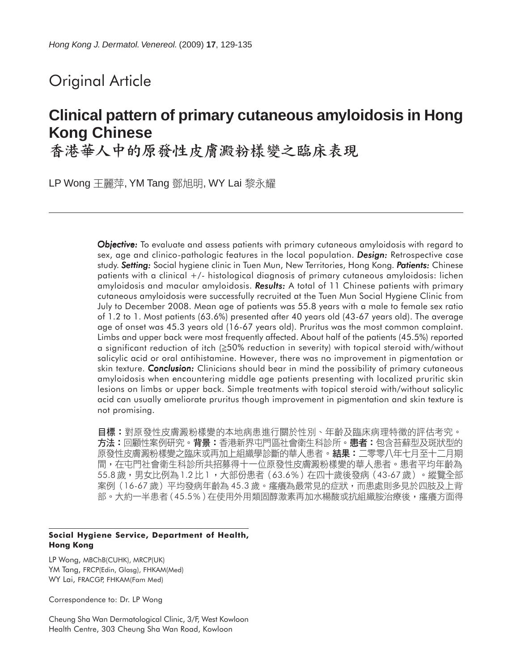# Original Article

# **Clinical pattern of primary cutaneous amyloidosis in Hong Kong Chinese**

香港華人中的原發性皮膚澱粉樣變之臨床表現

LP Wong 王麗萍, YM Tang 鄧旭明, WY Lai 黎永耀

*Objective: Objective:* To evaluate and assess patients with primary cutaneous amyloidosis with regard to sex, age and clinico-pathologic features in the local population. *Design: Design:* Retrospective case study. *Setting: Setting:* Social hygiene clinic in Tuen Mun, New Territories, Hong Kong. *Patients: atients:* Chinese patients with a clinical +/- histological diagnosis of primary cutaneous amyloidosis: lichen amyloidosis and macular amyloidosis. **Results:** A total of 11 Chinese patients with primary cutaneous amyloidosis were successfully recruited at the Tuen Mun Social Hygiene Clinic from July to December 2008. Mean age of patients was 55.8 years with a male to female sex ratio of 1.2 to 1. Most patients (63.6%) presented after 40 years old (43-67 years old). The average age of onset was 45.3 years old (16-67 years old). Pruritus was the most common complaint. Limbs and upper back were most frequently affected. About half of the patients (45.5%) reported a significant reduction of itch (≥50% reduction in severity) with topical steroid with/without salicylic acid or oral antihistamine. However, there was no improvement in pigmentation or skin texture. *Conclusion:* Clinicians should bear in mind the possibility of primary cutaneous amyloidosis when encountering middle age patients presenting with localized pruritic skin lesions on limbs or upper back. Simple treatments with topical steroid with/without salicylic acid can usually ameliorate pruritus though improvement in pigmentation and skin texture is not promising.

目標:對原發性皮膚澱粉樣變的本地病患進行關於性別、年齡及臨床病理特徵的評估考究。 方法:回顧性案例研究。背景:香港新界屯門區社會衛生科診所。患者:包含苔蘚型及斑狀型的 原發性皮膚澱粉樣變之臨床或再加上組織學診斷的華人患者。結果:二零零八年七月至十二月期 間,在屯門社會衛生科診所共招募得十一位原發性皮膚澱粉樣變的華人患者。患者平均年齡為 55.8 歲,男女比例為 1.2 比 1 ,大部份患者(63.6%)在四十歲後發病(43-67 歲)。縱覽全部 案例(16-67 歲)平均發病年齡為 45.3 歲。瘙癢為最常見的症狀,而患處則多見於四肢及上背 部。大約一半患者(45.5%)在使用外用類固醇激素再加水楊酸或抗組織胺治療後,瘙癢方面得

#### **Social Hygiene Service, Department of Health, Hong Kong**

LP Wong, MBChB(CUHK), MRCP(UK) YM Tang, FRCP(Edin, Glasg), FHKAM(Med) WY Lai, FRACGP, FHKAM(Fam Med)

Correspondence to: Dr. LP Wong

Cheung Sha Wan Dermatological Clinic, 3/F, West Kowloon Health Centre, 303 Cheung Sha Wan Road, Kowloon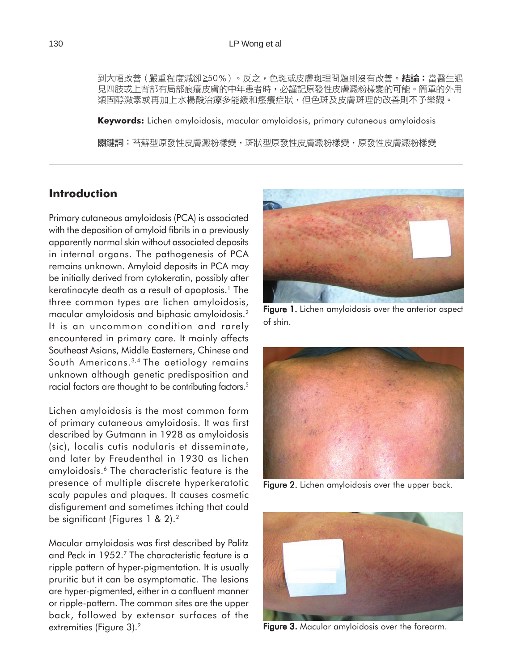到大幅改善(嚴重程度減卻≧50%)。反之,色斑或皮膚斑理問題則沒有改善。結論:當醫生遇 見四肢或上背部有局部痕癢皮膚的中年患者時,必謹記原發性皮膚澱粉樣變的可能。簡單的外用 類固醇激素或再加上水楊酸治療多能緩和瘙癢症狀,但色斑及皮膚斑理的改善則不予樂觀。

**Keywords:** Lichen amyloidosis, macular amyloidosis, primary cutaneous amyloidosis 關鍵詞:苔蘚型原發性皮膚澱粉樣變,斑狀型原發性皮膚澱粉樣變,原發性皮膚澱粉樣變

## **Introduction**

Primary cutaneous amyloidosis (PCA) is associated with the deposition of amyloid fibrils in a previously apparently normal skin without associated deposits in internal organs. The pathogenesis of PCA remains unknown. Amyloid deposits in PCA may be initially derived from cytokeratin, possibly after keratinocyte death as a result of apoptosis.<sup>1</sup> The three common types are lichen amyloidosis, macular amyloidosis and biphasic amyloidosis.2 It is an uncommon condition and rarely encountered in primary care. It mainly affects Southeast Asians, Middle Easterners, Chinese and South Americans.<sup>3,4</sup> The aetiology remains unknown although genetic predisposition and racial factors are thought to be contributing factors.<sup>5</sup>

Lichen amyloidosis is the most common form of primary cutaneous amyloidosis. It was first described by Gutmann in 1928 as amyloidosis (sic), localis cutis nodularis et disseminate, and later by Freudenthal in 1930 as lichen amyloidosis.6 The characteristic feature is the presence of multiple discrete hyperkeratotic scaly papules and plaques. It causes cosmetic disfigurement and sometimes itching that could be significant (Figures 1 & 2).2

Macular amyloidosis was first described by Palitz and Peck in 1952.7 The characteristic feature is a ripple pattern of hyper-pigmentation. It is usually pruritic but it can be asymptomatic. The lesions are hyper-pigmented, either in a confluent manner or ripple-pattern. The common sites are the upper back, followed by extensor surfaces of the extremities (Figure 3).<sup>2</sup>



Figure 1. Lichen amyloidosis over the anterior aspect of shin.



Figure 2. Lichen amyloidosis over the upper back.



Figure 3. Macular amyloidosis over the forearm.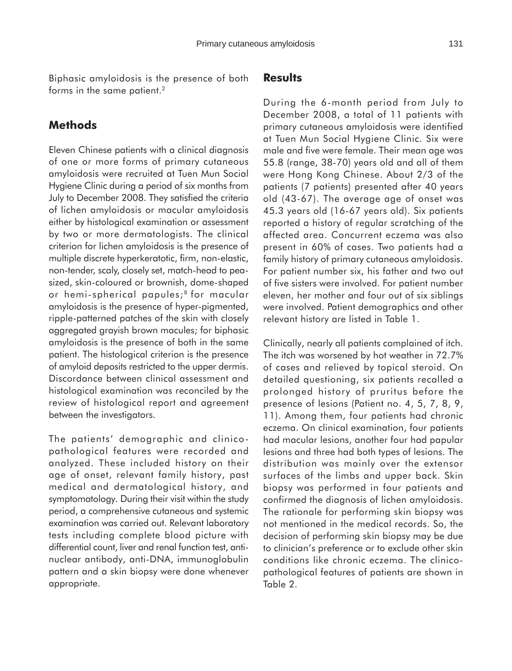Biphasic amyloidosis is the presence of both forms in the same patient.<sup>2</sup>

### **Methods**

Eleven Chinese patients with a clinical diagnosis of one or more forms of primary cutaneous amyloidosis were recruited at Tuen Mun Social Hygiene Clinic during a period of six months from July to December 2008. They satisfied the criteria of lichen amyloidosis or macular amyloidosis either by histological examination or assessment by two or more dermatologists. The clinical criterion for lichen amyloidosis is the presence of multiple discrete hyperkeratotic, firm, non-elastic, non-tender, scaly, closely set, match-head to peasized, skin-coloured or brownish, dome-shaped or hemi-spherical papules;<sup>8</sup> for macular amyloidosis is the presence of hyper-pigmented, ripple-patterned patches of the skin with closely aggregated grayish brown macules; for biphasic amyloidosis is the presence of both in the same patient. The histological criterion is the presence of amyloid deposits restricted to the upper dermis. Discordance between clinical assessment and histological examination was reconciled by the review of histological report and agreement between the investigators.

The patients' demographic and clinicopathological features were recorded and analyzed. These included history on their age of onset, relevant family history, past medical and dermatological history, and symptomatology. During their visit within the study period, a comprehensive cutaneous and systemic examination was carried out. Relevant laboratory tests including complete blood picture with differential count, liver and renal function test, antinuclear antibody, anti-DNA, immunoglobulin pattern and a skin biopsy were done whenever appropriate.

### **Results**

During the 6-month period from July to December 2008, a total of 11 patients with primary cutaneous amyloidosis were identified at Tuen Mun Social Hygiene Clinic. Six were male and five were female. Their mean age was 55.8 (range, 38-70) years old and all of them were Hong Kong Chinese. About 2/3 of the patients (7 patients) presented after 40 years old (43-67). The average age of onset was 45.3 years old (16-67 years old). Six patients reported a history of regular scratching of the affected area. Concurrent eczema was also present in 60% of cases. Two patients had a family history of primary cutaneous amyloidosis. For patient number six, his father and two out of five sisters were involved. For patient number eleven, her mother and four out of six siblings were involved. Patient demographics and other relevant history are listed in Table 1.

Clinically, nearly all patients complained of itch. The itch was worsened by hot weather in 72.7% of cases and relieved by topical steroid. On detailed questioning, six patients recalled a prolonged history of pruritus before the presence of lesions (Patient no. 4, 5, 7, 8, 9, 11). Among them, four patients had chronic eczema. On clinical examination, four patients had macular lesions, another four had papular lesions and three had both types of lesions. The distribution was mainly over the extensor surfaces of the limbs and upper back. Skin biopsy was performed in four patients and confirmed the diagnosis of lichen amyloidosis. The rationale for performing skin biopsy was not mentioned in the medical records. So, the decision of performing skin biopsy may be due to clinician's preference or to exclude other skin conditions like chronic eczema. The clinicopathological features of patients are shown in Table 2.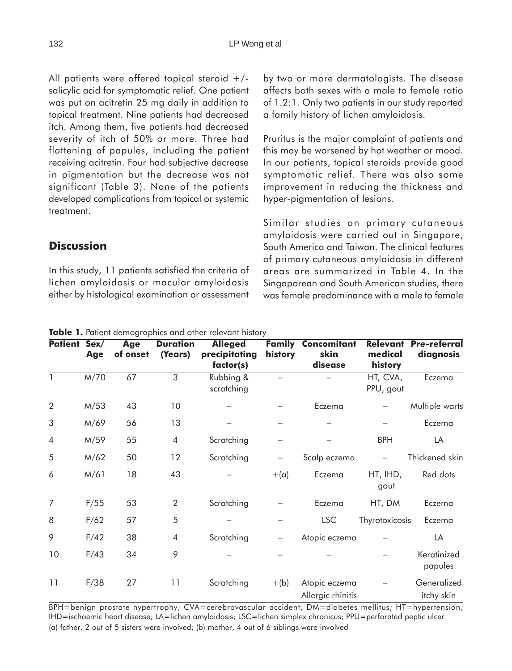All patients were offered topical steroid +/ salicylic acid for symptomatic relief. One patient was put on acitretin 25 mg daily in addition to topical treatment. Nine patients had decreased itch. Among them, five patients had decreased severity of itch of 50% or more. Three had flattening of papules, including the patient receiving acitretin. Four had subjective decrease in pigmentation but the decrease was not significant (Table 3). None of the patients developed complications from topical or systemic treatment.

by two or more dermatologists. The disease affects both sexes with a male to female ratio of 1.2:1. Only two patients in our study reported a family history of lichen amyloidosis.

Pruritus is the major complaint of patients and this may be worsened by hot weather or mood. In our patients, topical steroids provide good symptomatic relief. There was also some improvement in reducing the thickness and hyper-pigmentation of lesions.

Similar studies on primary cutaneous amyloidosis were carried out in Singapore, South America and Taiwan. The clinical features of primary cutaneous amyloidosis in different areas are summarized in Table 4. In the Singaporean and South American studies, there was female predominance with a male to female

| Table 1. Patient demographics and other relevant history |            |                        |                            |                                              |             |                                              |                                       |                                  |  |  |
|----------------------------------------------------------|------------|------------------------|----------------------------|----------------------------------------------|-------------|----------------------------------------------|---------------------------------------|----------------------------------|--|--|
| Patient Sex/                                             | <b>Age</b> | <b>Age</b><br>of onset | <b>Duration</b><br>(Years) | <b>Alleged</b><br>precipitating<br>factor(s) | history     | <b>Family Concomitant</b><br>skin<br>disease | <b>Relevant</b><br>medical<br>history | <b>Pre-referral</b><br>diagnosis |  |  |
| 1                                                        | M/70       | 67                     | 3                          | Rubbing &<br>scratching                      |             |                                              | HT, CVA,<br>PPU, gout                 | Eczema                           |  |  |
| 2                                                        | M/53       | 43                     | 10                         |                                              |             | Eczema                                       |                                       | Multiple warts                   |  |  |
| 3                                                        | M/69       | 56                     | 13                         |                                              |             |                                              |                                       | Eczema                           |  |  |
| $\overline{4}$                                           | M/59       | 55                     | $\overline{4}$             | Scratching                                   |             |                                              | <b>BPH</b>                            | LA                               |  |  |
| 5                                                        | M/62       | 50                     | 12                         | Scratching                                   |             | Scalp eczema                                 |                                       | Thickened skin                   |  |  |
| 6                                                        | M/61       | 18                     | 43                         |                                              | $+(\alpha)$ | Eczema                                       | HT, IHD,<br>gout                      | Red dots                         |  |  |
| $\overline{7}$                                           | F/55       | 53                     | 2                          | Scratching                                   |             | Eczema                                       | HT, DM                                | Eczema                           |  |  |
| 8                                                        | F/62       | 57                     | 5                          |                                              |             | <b>LSC</b>                                   | Thyrotoxicosis                        | Eczema                           |  |  |
| 9                                                        | F/42       | 38                     | 4                          | Scratching                                   |             | Atopic eczema                                |                                       | LA                               |  |  |
| 10                                                       | F/43       | 34                     | 9                          |                                              |             |                                              |                                       | Keratinized<br>papules           |  |  |
| 11                                                       | F/38       | 27                     | 11                         | Scratching                                   | $+(b)$      | Atopic eczema<br>Allergic rhinitis           |                                       | Generalized<br>itchy skin        |  |  |

BPH=benign prostate hypertrophy; CVA=cerebrovascular accident; DM=diabetes mellitus; HT=hypertension; IHD=ischaemic heart disease; LA=lichen amyloidosis; LSC=lichen simplex chronicus; PPU=perforated peptic ulcer (a) father, 2 out of 5 sisters were involved; (b) mother, 4 out of 6 siblings were involved

**Discussion**

In this study, 11 patients satisfied the criteria of lichen amyloidosis or macular amyloidosis either by histological examination or assessment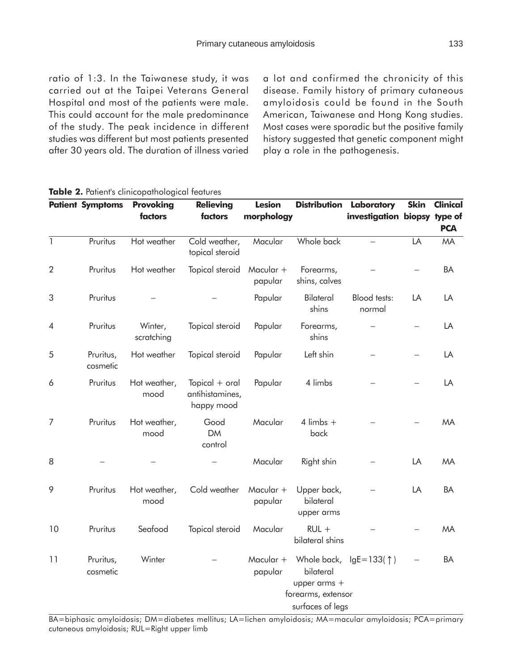ratio of 1:3. In the Taiwanese study, it was carried out at the Taipei Veterans General Hospital and most of the patients were male. This could account for the male predominance of the study. The peak incidence in different studies was different but most patients presented after 30 years old. The duration of illness varied a lot and confirmed the chronicity of this disease. Family history of primary cutaneous amyloidosis could be found in the South American, Taiwanese and Hong Kong studies. Most cases were sporadic but the positive family history suggested that genetic component might play a role in the pathogenesis.

|                | <b>Patient Symptoms</b> | <b>Provoking</b>      | <b>Relieving</b>                                  | <b>Lesion</b>        | <b>Distribution</b>                                                                | Laboratory                    | <b>Skin</b> | <b>Clinical</b> |
|----------------|-------------------------|-----------------------|---------------------------------------------------|----------------------|------------------------------------------------------------------------------------|-------------------------------|-------------|-----------------|
|                |                         | factors               | factors                                           | morphology           |                                                                                    | investigation biopsy type of  |             | <b>PCA</b>      |
| $\overline{1}$ | Pruritus                | Hot weather           | Cold weather,<br>topical steroid                  | Macular              | Whole back                                                                         |                               | LA          | <b>MA</b>       |
| 2              | Pruritus                | Hot weather           | Topical steroid                                   | Macular +<br>papular | Forearms,<br>shins, calves                                                         |                               |             | BA              |
| 3              | Pruritus                |                       |                                                   | Papular              | Bilateral<br>shins                                                                 | <b>Blood tests:</b><br>normal | LA          | LA              |
| 4              | Pruritus                | Winter,<br>scratching | Topical steroid                                   | Papular              | Forearms,<br>shins                                                                 |                               |             | LA              |
| 5              | Pruritus,<br>cosmetic   | Hot weather           | Topical steroid                                   | Papular              | Left shin                                                                          |                               |             | LA              |
| 6              | Pruritus                | Hot weather,<br>mood  | Topical $+$ oral<br>antihistamines,<br>happy mood | Papular              | 4 limbs                                                                            |                               |             | LA              |
| $\overline{7}$ | Pruritus                | Hot weather,<br>mood  | Good<br><b>DM</b><br>control                      | Macular              | $4$ limbs $+$<br>back                                                              |                               |             | <b>MA</b>       |
| 8              |                         |                       |                                                   | Macular              | Right shin                                                                         |                               | LA          | MA              |
| 9              | Pruritus                | Hot weather,<br>mood  | Cold weather                                      | Macular +<br>papular | Upper back,<br>bilateral<br>upper arms                                             |                               | LA          | <b>BA</b>       |
| 10             | Pruritus                | Seafood               | Topical steroid                                   | Macular              | $RUL +$<br>bilateral shins                                                         |                               |             | <b>MA</b>       |
| 11             | Pruritus,<br>cosmetic   | Winter                |                                                   | Macular +<br>papular | Whole back,<br>bilateral<br>upper arms +<br>forearms, extensor<br>surfaces of legs | $lgE = 133($ $\uparrow$ )     |             | <b>BA</b>       |

#### **Table 2.** Patient's clinicopathological features

BA=biphasic amyloidosis; DM=diabetes mellitus; LA=lichen amyloidosis; MA=macular amyloidosis; PCA=primary cutaneous amyloidosis; RUL=Right upper limb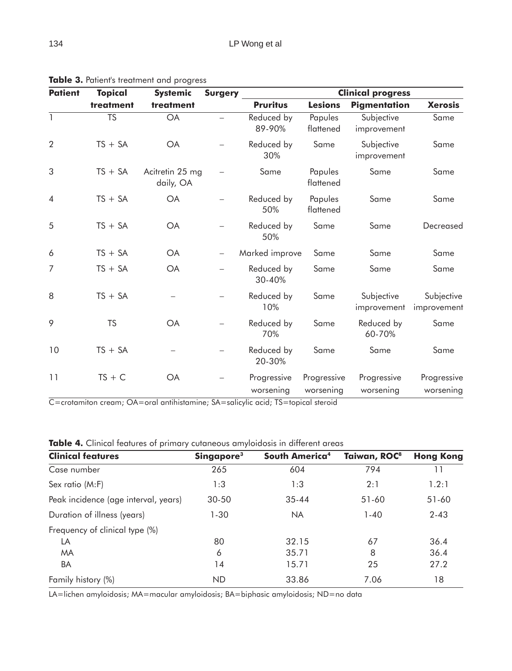| <b>Patient</b> | <b>Topical</b>         | <b>Systemic</b>              | <b>Surgery</b> | <b>Clinical progress</b> |                          |                           |                           |  |  |  |
|----------------|------------------------|------------------------------|----------------|--------------------------|--------------------------|---------------------------|---------------------------|--|--|--|
|                | treatment              | treatment                    |                | <b>Pruritus</b>          | <b>Lesions</b>           | <b>Pigmentation</b>       | <b>Xerosis</b>            |  |  |  |
| $\mathbf{1}$   | $\overline{\text{TS}}$ | <b>OA</b>                    |                | Reduced by<br>89-90%     | Papules<br>flattened     | Subjective<br>improvement | Same                      |  |  |  |
| $\overline{2}$ | $TS + SA$              | <b>OA</b>                    |                | Reduced by<br>30%        | Same                     | Subjective<br>improvement | Same                      |  |  |  |
| 3              | $TS + SA$              | Acitretin 25 mg<br>daily, OA |                | Same                     | Papules<br>flattened     | Same                      | Same                      |  |  |  |
| $\overline{4}$ | $TS + SA$              | <b>OA</b>                    |                | Reduced by<br>50%        | Papules<br>flattened     | Same                      | Same                      |  |  |  |
| 5              | $TS + SA$              | <b>OA</b>                    |                | Reduced by<br>50%        | Same                     | Same                      | Decreased                 |  |  |  |
| 6              | $TS + SA$              | <b>OA</b>                    |                | Marked improve           | Same                     | Same                      | Same                      |  |  |  |
| 7              | $TS + SA$              | <b>OA</b>                    |                | Reduced by<br>30-40%     | Same                     | Same                      | Same                      |  |  |  |
| 8              | $TS + SA$              |                              |                | Reduced by<br>10%        | Same                     | Subjective<br>improvement | Subjective<br>improvement |  |  |  |
| 9              | <b>TS</b>              | <b>OA</b>                    |                | Reduced by<br>70%        | Same                     | Reduced by<br>60-70%      | Same                      |  |  |  |
| 10             | $TS + SA$              |                              |                | Reduced by<br>20-30%     | Same                     | Same                      | Same                      |  |  |  |
| 11             | $TS + C$               | <b>OA</b>                    |                | Progressive<br>worsening | Progressive<br>worsening | Progressive<br>worsening  | Progressive<br>worsening  |  |  |  |

**Table 3.** Patient's treatment and progress

C=crotamiton cream; OA=oral antihistamine; SA=salicylic acid; TS=topical steroid

|  |  |  |  |  | <b>Table 4.</b> Clinical features of primary cutaneous amyloidosis in different areas |  |  |  |  |  |
|--|--|--|--|--|---------------------------------------------------------------------------------------|--|--|--|--|--|
|--|--|--|--|--|---------------------------------------------------------------------------------------|--|--|--|--|--|

| <b>Clinical features</b>             | Singapore <sup>3</sup> | South America <sup>4</sup> | Taiwan, ROC <sup>8</sup> | <b>Hong Kong</b> |
|--------------------------------------|------------------------|----------------------------|--------------------------|------------------|
| Case number                          | 265                    | 604                        | 794                      | 11               |
| Sex ratio (M:F)                      | 1:3                    | 1:3                        | 2:1                      | 1.2:1            |
| Peak incidence (age interval, years) | $30 - 50$              | $35 - 44$                  | $51-60$                  | $51-60$          |
| Duration of illness (years)          | $1 - 30$               | <b>NA</b>                  | $1 - 40$                 | $2 - 43$         |
| Frequency of clinical type (%)       |                        |                            |                          |                  |
| LA                                   | 80                     | 32.15                      | 67                       | 36.4             |
| <b>MA</b>                            | 6                      | 35.71                      | 8                        | 36.4             |
| BA                                   | 14                     | 15.71                      | 25                       | 27.2             |
| Family history (%)                   | <b>ND</b>              | 33.86                      | 7.06                     | 18               |

LA=lichen amyloidosis; MA=macular amyloidosis; BA=biphasic amyloidosis; ND=no data